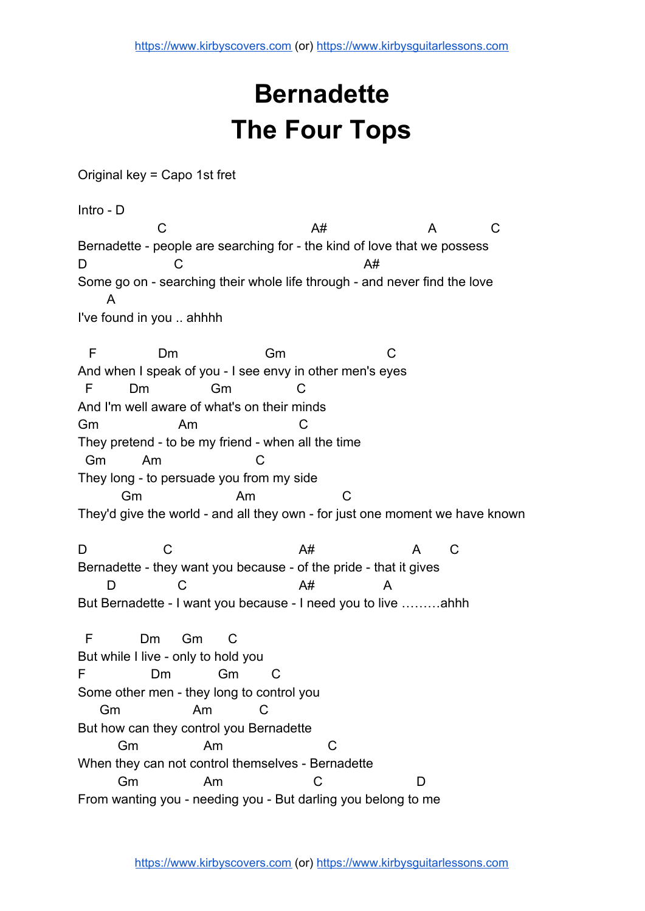## **Bernadette The Four Tops**

Original key = Capo 1st fret

Intro - D

C A# A C Bernadette - people are searching for - the kind of love that we possess D C A# Some go on - searching their whole life through - and never find the love A I've found in you .. ahhhh

 F Dm Gm C And when I speak of you - I see envy in other men's eyes F Dm Gm C And I'm well aware of what's on their minds Gm Am C They pretend - to be my friend - when all the time Gm Am C They long - to persuade you from my side Gm Am C They'd give the world - and all they own - for just one moment we have known

D C A C Bernadette - they want you because - of the pride - that it gives D C A# A But Bernadette - I want you because - I need you to live ………ahhh

 F Dm Gm C But while I live - only to hold you F Dm Gm C Some other men - they long to control you Gm Am C But how can they control you Bernadette Gm Am C When they can not control themselves - Bernadette Gm Am C D From wanting you - needing you - But darling you belong to me